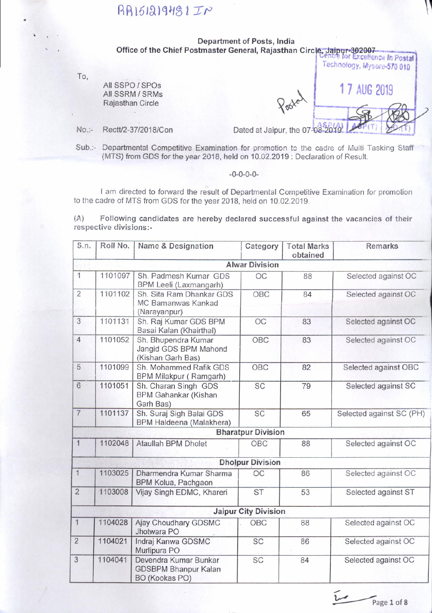## $RAB151219481IP$

Department of Posts, India Office of the Chief Postmaster General, Rajasthan

To,

All SSPO / SPOS All SSRM / SRMs Rajasthan Circle

No.:- Rectt/2-37/2018/Con Dated at Jaipur, the 07-08-2019

Pootal

 $\mathsf{L}$ 

Technology, Mysore-570 010

17 AUG 2019

Sub.:- Departmental Competitive Examination for promotion to the cadre of Multi Tasking Staff (MTS) from GDS for the year 2018, held on 10.02.2019 : Declaration of Result.

## -0-0-0-0-

I am directed to forward the result of Departmental Competitive Examination for promotion to the cadre of MTS from GDS for the year 2018, held on 10.02.2019.

\4.) Following candidates are hereby declared successful against the vacancies of their respective divisions:-

| S.n.           | Roll No. | Name & Designation                                                     | Category                    | <b>Total Marks</b><br>obtained | <b>Remarks</b>           |
|----------------|----------|------------------------------------------------------------------------|-----------------------------|--------------------------------|--------------------------|
|                |          |                                                                        | <b>Alwar Division</b>       |                                |                          |
| $\mathbf{1}$   | 1101097  | Sh. Padmesh Kumar GDS<br>BPM Leeli (Laxmangarh)                        | OC                          | 88                             | Selected against OC      |
| $\overline{c}$ | 1101102  | Sh. Sita Ram Dhankar GDS<br>MC Bamanwas Kankad<br>(Narayanpur)         | OBC                         | 84                             | Selected against OC      |
| $\overline{3}$ | 1101131  | Sh. Raj Kumar GDS BPM<br>Basai Kalan (Khairthal)                       | OC                          | 83                             | Selected against OC      |
| $\overline{4}$ | 1101052  | Sh. Bhupendra Kumar<br>Jangid GDS BPM Mahond<br>(Kishan Garh Bas)      | OBC                         | 83                             | Selected against OC      |
| 5              | 1101099  | Sh. Mohammed Rafik GDS<br>BPM Milakpur (Ramgarh)                       | OBC                         | 82                             | Selected against OBC     |
| $6 -$          | 1101051  | Sh. Charan Singh GDS<br>BPM Gahankar (Kishan<br>Garh Bas)              | <b>SC</b>                   | 79                             | Selected against SC      |
| $\overline{7}$ | 1101137  | Sh. Suraj Sigh Balai GDS<br>BPM Haldeena (Malakhera)                   | $\overline{SC}$             | 65                             | Selected against SC (PH) |
|                |          |                                                                        | <b>Bharatpur Division</b>   |                                |                          |
| $\overline{1}$ | 1102048  | Ataullah BPM Dholet                                                    | OBC                         | 88                             | Selected against OC      |
|                |          |                                                                        | <b>Dholpur Division</b>     |                                |                          |
| $\overline{1}$ | 1103025  | Dharmendra Kumar Sharma<br>BPM Kolua, Pachgaon                         | OC                          | 86                             | Selected against OC      |
| $\overline{2}$ | 1103008  | Vijay Singh EDMC, Khareri                                              | <b>ST</b>                   | 53                             | Selected against ST      |
|                |          |                                                                        | <b>Jaipur City Division</b> |                                |                          |
| $\mathbf{1}$   | 1104028  | Ajay Choudhary GDSMC<br>Jhotwara PO                                    | OBC                         | 88                             | Selected against OC      |
| $\overline{2}$ | 1104021  | Indraj Kanwa GDSMC<br>Murlipura PO                                     | SC                          | 86                             | Selected against OC      |
| 3              | 1104041  | Devendra Kumar Bunkar<br><b>GDSBPM Bhanpur Kalan</b><br>BO (Kookas PO) | SC                          | 84                             | Selected against OC      |

 $\frac{1}{\sqrt{1-\frac{1}{\sqrt{1-\frac{1}{\sqrt{1-\frac{1}{\sqrt{1-\frac{1}{\sqrt{1-\frac{1}{\sqrt{1-\frac{1}{\sqrt{1-\frac{1}{\sqrt{1-\frac{1}{\sqrt{1-\frac{1}{\sqrt{1-\frac{1}{\sqrt{1-\frac{1}{\sqrt{1-\frac{1}{\sqrt{1-\frac{1}{\sqrt{1-\frac{1}{\sqrt{1-\frac{1}{\sqrt{1-\frac{1}{\sqrt{1-\frac{1}{\sqrt{1-\frac{1}{\sqrt{1-\frac{1}{\sqrt{1-\frac{1}{\sqrt{1-\frac{1}{\sqrt{1-\frac{1}{\sqrt{1-\frac{1}{\sqrt{1-\frac{1$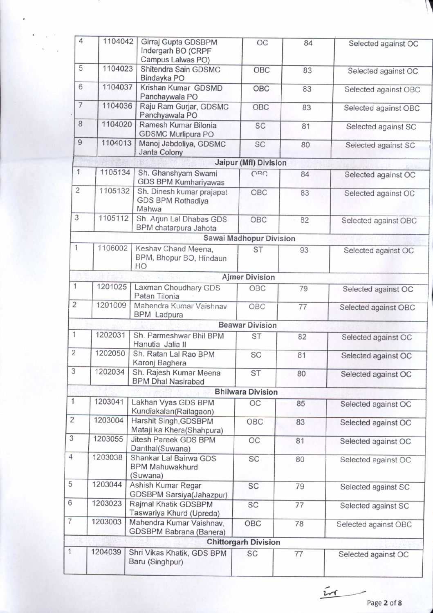| $\overline{4}$ | 1104042 | Girraj Gupta GDSBPM<br>Indergarh BO (CRPF<br>Campus Lalwas PO) | OC                          | 84 | Selected against OC  |
|----------------|---------|----------------------------------------------------------------|-----------------------------|----|----------------------|
| 5              | 1104023 | Shitendra Sain GDSMC<br>Bindayka PO                            | OBC                         | 83 | Selected against OC  |
| 6              | 1104037 | Krishan Kumar GDSMD<br>Panchaywala PO                          | OBC                         | 83 | Selected against OBC |
| $\overline{7}$ | 1104036 | Raju Ram Gurjar, GDSMC<br>Panchyawala PO                       | OBC                         | 83 | Selected against OBC |
| 8              | 1104020 | Ramesh Kumar Bilonia<br><b>GDSMC Murlipura PO</b>              | SC                          | 81 | Selected against SC  |
| $\overline{9}$ | 1104013 | Manoj Jabdoliya, GDSMC<br>Janta Colony                         | <b>SC</b>                   | 80 | Selected against SC  |
|                |         |                                                                | Jaipur (Mfl) Division       |    |                      |
| $\mathbf{1}$   | 1105134 | Sh. Ghanshyam Swami<br>GDS BPM Kumhariyawas                    | ORC.                        | 84 | Selected against OC  |
| $\overline{c}$ | 1105132 | Sh. Dinesh kumar prajapat<br>GDS BPM Rothadiya<br>Mahwa        | OBC                         | 83 | Selected against OC  |
| 3              | 1105112 | Sh. Arjun Lal Dhabas GDS<br>BPM chatarpura Jahota              | OBC                         | 82 | Selected against OBC |
|                |         |                                                                | Sawai Madhopur Division     |    |                      |
| 1              | 1106002 | Keshav Chand Meena,<br>BPM, Bhopur BO, Hindaun<br>HO           | <b>ST</b>                   | 93 | Selected against OC  |
|                |         |                                                                | <b>Ajmer Division</b>       |    |                      |
| $\overline{1}$ | 1201025 | Laxman Choudhary GDS<br>Patan Tilonia                          | OBC                         | 79 | Selected against OC  |
| $\overline{2}$ | 1201009 | Mahendra Kumar Vaishnav<br><b>BPM</b> Ladpura                  | OBC                         | 77 | Selected against OBC |
|                |         |                                                                | <b>Beawar Division</b>      |    |                      |
| $\mathbf{1}$   | 1202031 | Sh. Parmeshwar Bhil BPM<br>Hanutia Jalia II                    | <b>ST</b>                   | 82 | Selected against OC  |
| $\overline{2}$ | 1202050 | Sh. Ratan Lal Rao BPM<br>Karonj Baghera                        | SC                          | 81 | Selected against OC  |
| 3              | 1202034 | Sh. Rajesh Kumar Meena<br><b>BPM Dhal Nasirabad</b>            | <b>ST</b>                   | 80 | Selected against OC  |
|                |         |                                                                | <b>Bhilwara Division</b>    |    |                      |
| $\mathbf{1}$   | 1203041 | Lakhan Vyas GDS BPM<br>Kundiakalan(Railagaon)                  | OC                          | 85 | Selected against OC  |
| $\overline{2}$ | 1203004 | Harshit Singh, GDSBPM<br>Mataji ka Khera(Shahpura)             | OBC                         | 83 | Selected against OC  |
| $\overline{3}$ | 1203055 | Jitesh Pareek GDS BPM<br>Danthal(Suwana)                       | OC                          | 81 | Selected against OC  |
| $\overline{4}$ | 1203038 | Shankar Lal Bairwa GDS<br><b>BPM Mahuwakhurd</b><br>(Suwana)   | <b>SC</b>                   | 80 | Selected against OC  |
|                | 1203044 | Ashish Kumar Regar<br>GDSBPM Sarsiya(Jahazpur)                 | <b>SC</b>                   | 79 | Selected against SC  |
|                | 1203023 | Rajmal Khatik GDSBPM<br>Taswariya Khurd (Upreda)               | <b>SC</b>                   | 77 | Selected against SC  |
|                | 1203003 | Mahendra Kumar Vaishnav.<br>GDSBPM Babrana (Banera)            | OBC                         | 78 | Selected against OBC |
|                |         |                                                                | <b>Chittorgarh Division</b> |    |                      |
|                | 1204039 | Shri Vikas Khatik, GDS BPM<br>Baru (Singhpur)                  | <b>SC</b>                   | 77 | Selected against OC  |

 $\frac{1}{2}$